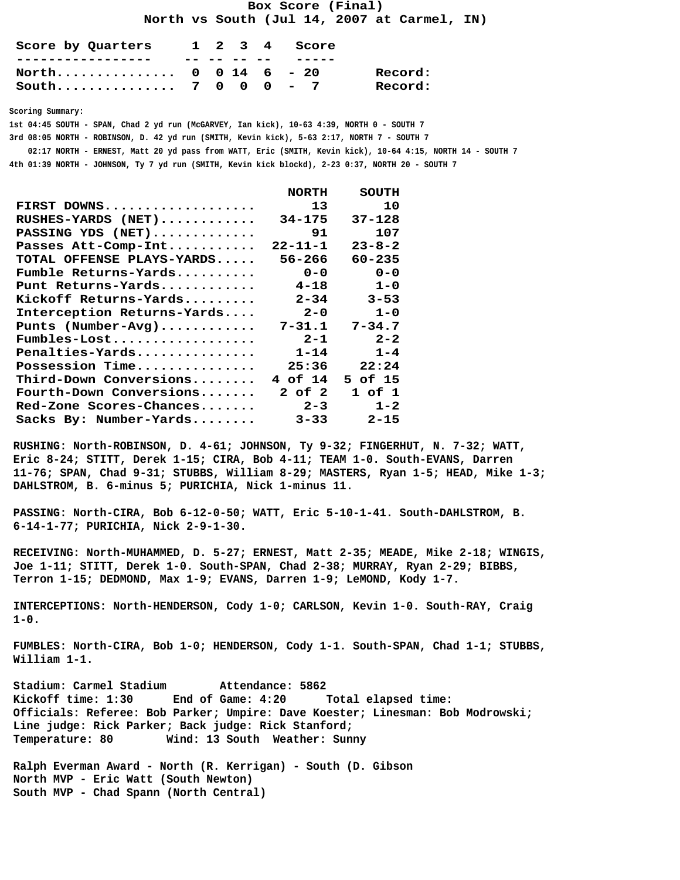**Box Score (Final)**

 **North vs South (Jul 14, 2007 at Carmel, IN)**

| Score by Quarters                |  |  | 1 2 3 4 Score |         |
|----------------------------------|--|--|---------------|---------|
|                                  |  |  |               |         |
| North $0 \t 0 \t 14 \t 6 \t -20$ |  |  |               | Record: |
| South 7 0 0 0 - 7                |  |  |               | Record: |

 **Scoring Summary:**

 **1st 04:45 SOUTH - SPAN, Chad 2 yd run (McGARVEY, Ian kick), 10-63 4:39, NORTH 0 - SOUTH 7**

 **3rd 08:05 NORTH - ROBINSON, D. 42 yd run (SMITH, Kevin kick), 5-63 2:17, NORTH 7 - SOUTH 7**

 **02:17 NORTH - ERNEST, Matt 20 yd pass from WATT, Eric (SMITH, Kevin kick), 10-64 4:15, NORTH 14 - SOUTH 7**

 **4th 01:39 NORTH - JOHNSON, Ty 7 yd run (SMITH, Kevin kick blockd), 2-23 0:37, NORTH 20 - SOUTH 7**

|                                                   | <b>NORTH</b> | SOUTH        |
|---------------------------------------------------|--------------|--------------|
| FIRST DOWNS                                       | 13           | 10           |
| RUSHES-YARDS (NET)                                | $34 - 175$   | $37 - 128$   |
| PASSING YDS (NET)                                 | 91           | 107          |
| Passes Att-Comp-Int                               | 22-11-1      | $23 - 8 - 2$ |
| TOTAL OFFENSE PLAYS-YARDS                         | $56 - 266$   | $60 - 235$   |
| $\texttt{Fumble Returns-Yards} \dots \dots \dots$ | $0 - 0$      | $0 - 0$      |
| Punt Returns-Yards                                | $4 - 18$     | $1 - 0$      |
| Kickoff Returns-Yards                             | $2 - 34$     | $3 - 53$     |
| Interception Returns-Yards                        | $2 - 0$      | $1 - 0$      |
| Punts $(Number-Avq)$                              | $7 - 31.1$   | $7 - 34.7$   |
| Fumbles-Lost                                      | $2 - 1$      | $2 - 2$      |
| Penalties-Yards                                   | $1 - 14$     | $1 - 4$      |
| Possession Time                                   | 25:36        | 22:24        |
| $Third$ -Down Conversions                         | 4 of 14      | 5 of 15      |
| $\verb Fourth-Down Conversions$                   | 2 of 2       | 1 of 1       |
| Red-Zone Scores-Chances                           | $2 - 3$      | $1 - 2$      |
| Sacks By: Number-Yards                            | $3 - 33$     | $2 - 15$     |
|                                                   |              |              |

 **RUSHING: North-ROBINSON, D. 4-61; JOHNSON, Ty 9-32; FINGERHUT, N. 7-32; WATT, Eric 8-24; STITT, Derek 1-15; CIRA, Bob 4-11; TEAM 1-0. South-EVANS, Darren 11-76; SPAN, Chad 9-31; STUBBS, William 8-29; MASTERS, Ryan 1-5; HEAD, Mike 1-3; DAHLSTROM, B. 6-minus 5; PURICHIA, Nick 1-minus 11.**

 **PASSING: North-CIRA, Bob 6-12-0-50; WATT, Eric 5-10-1-41. South-DAHLSTROM, B. 6-14-1-77; PURICHIA, Nick 2-9-1-30.**

 **RECEIVING: North-MUHAMMED, D. 5-27; ERNEST, Matt 2-35; MEADE, Mike 2-18; WINGIS, Joe 1-11; STITT, Derek 1-0. South-SPAN, Chad 2-38; MURRAY, Ryan 2-29; BIBBS, Terron 1-15; DEDMOND, Max 1-9; EVANS, Darren 1-9; LeMOND, Kody 1-7.**

 **INTERCEPTIONS: North-HENDERSON, Cody 1-0; CARLSON, Kevin 1-0. South-RAY, Craig 1-0.**

 **FUMBLES: North-CIRA, Bob 1-0; HENDERSON, Cody 1-1. South-SPAN, Chad 1-1; STUBBS, William 1-1.**

 **Stadium: Carmel Stadium Attendance: 5862 Kickoff time: 1:30 End of Game: 4:20 Total elapsed time: Officials: Referee: Bob Parker; Umpire: Dave Koester; Linesman: Bob Modrowski; Line judge: Rick Parker; Back judge: Rick Stanford; Temperature: 80 Wind: 13 South Weather: Sunny**

 **Ralph Everman Award - North (R. Kerrigan) - South (D. Gibson North MVP - Eric Watt (South Newton) South MVP - Chad Spann (North Central)**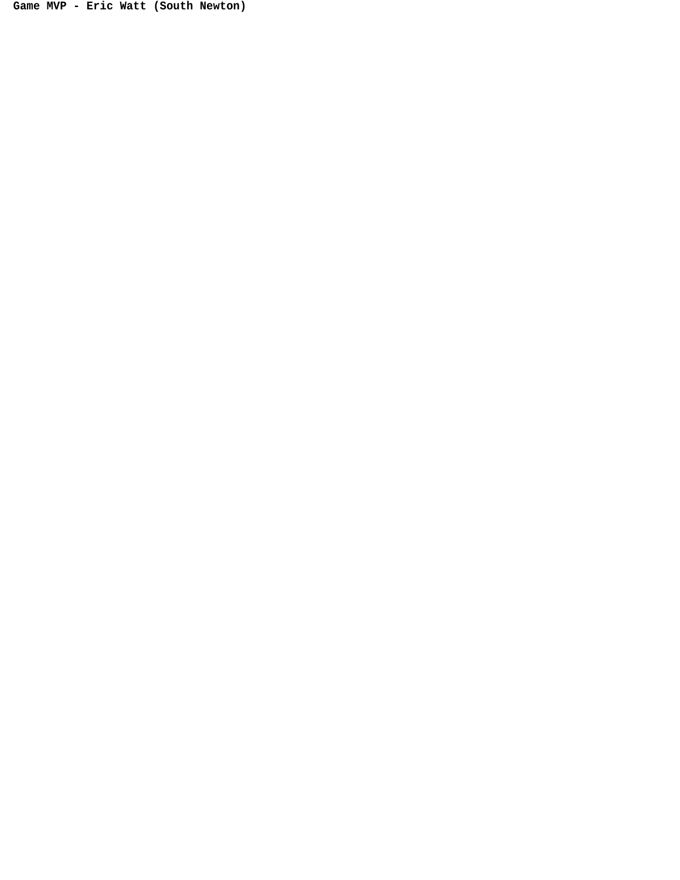**Game MVP - Eric Watt (South Newton)**